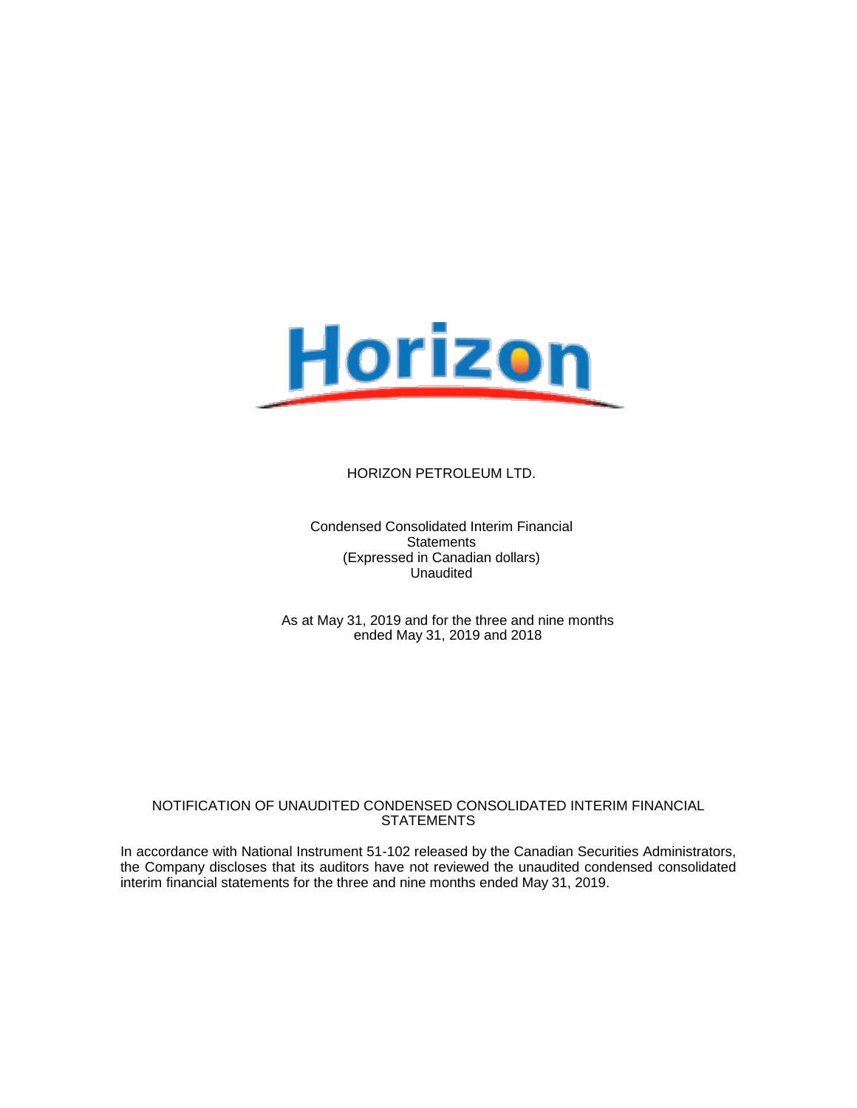

Condensed Consolidated Interim Financial **Statements** (Expressed in Canadian dollars) Unaudited

As at May 31, 2019 and for the three and nine months ended May 31, 2019 and 2018

#### NOTIFICATION OF UNAUDITED CONDENSED CONSOLIDATED INTERIM FINANCIAL **STATEMENTS**

In accordance with National Instrument 51-102 released by the Canadian Securities Administrators, the Company discloses that its auditors have not reviewed the unaudited condensed consolidated interim financial statements for the three and nine months ended May 31, 2019.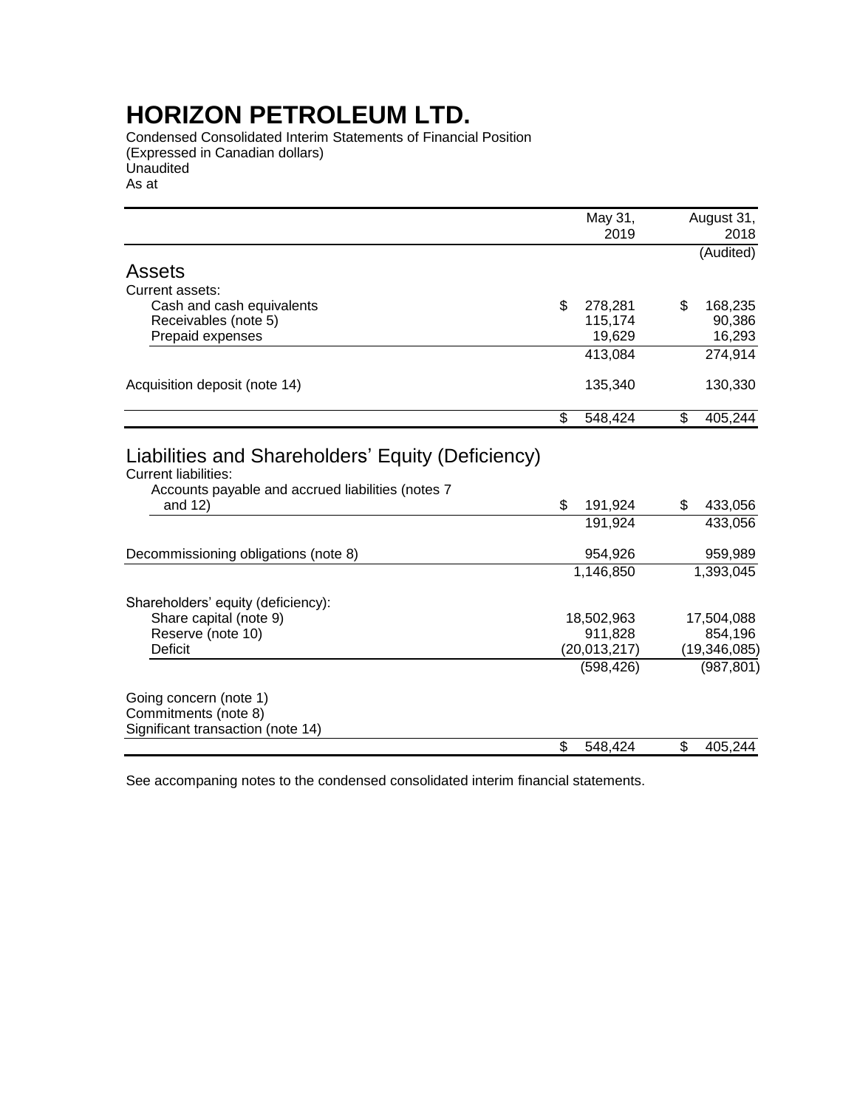Condensed Consolidated Interim Statements of Financial Position (Expressed in Canadian dollars) Unaudited As at

|                                                                                                                                                     | May 31,<br>2019                                       | August 31,<br>2018                                    |
|-----------------------------------------------------------------------------------------------------------------------------------------------------|-------------------------------------------------------|-------------------------------------------------------|
|                                                                                                                                                     |                                                       | (Audited)                                             |
| <b>Assets</b>                                                                                                                                       |                                                       |                                                       |
| Current assets:                                                                                                                                     |                                                       |                                                       |
| Cash and cash equivalents                                                                                                                           | \$<br>278,281                                         | \$<br>168,235                                         |
| Receivables (note 5)                                                                                                                                | 115,174                                               | 90,386                                                |
| Prepaid expenses                                                                                                                                    | 19,629                                                | 16,293                                                |
|                                                                                                                                                     | 413,084                                               | 274,914                                               |
| Acquisition deposit (note 14)                                                                                                                       | 135,340                                               | 130,330                                               |
|                                                                                                                                                     | \$<br>548,424                                         | \$<br>405,244                                         |
| Liabilities and Shareholders' Equity (Deficiency)<br><b>Current liabilities:</b><br>Accounts payable and accrued liabilities (notes 7<br>and $12$ ) | \$<br>191,924<br>191,924                              | \$<br>433,056<br>433,056                              |
|                                                                                                                                                     |                                                       |                                                       |
| Decommissioning obligations (note 8)                                                                                                                | 954,926                                               | 959,989                                               |
|                                                                                                                                                     | 1,146,850                                             | 1,393,045                                             |
| Shareholders' equity (deficiency):<br>Share capital (note 9)<br>Reserve (note 10)<br><b>Deficit</b>                                                 | 18,502,963<br>911,828<br>(20, 013, 217)<br>(598, 426) | 17,504,088<br>854,196<br>(19, 346, 085)<br>(987, 801) |
| Going concern (note 1)<br>Commitments (note 8)<br>Significant transaction (note 14)                                                                 | \$<br>548,424                                         | \$<br>405,244                                         |

See accompaning notes to the condensed consolidated interim financial statements.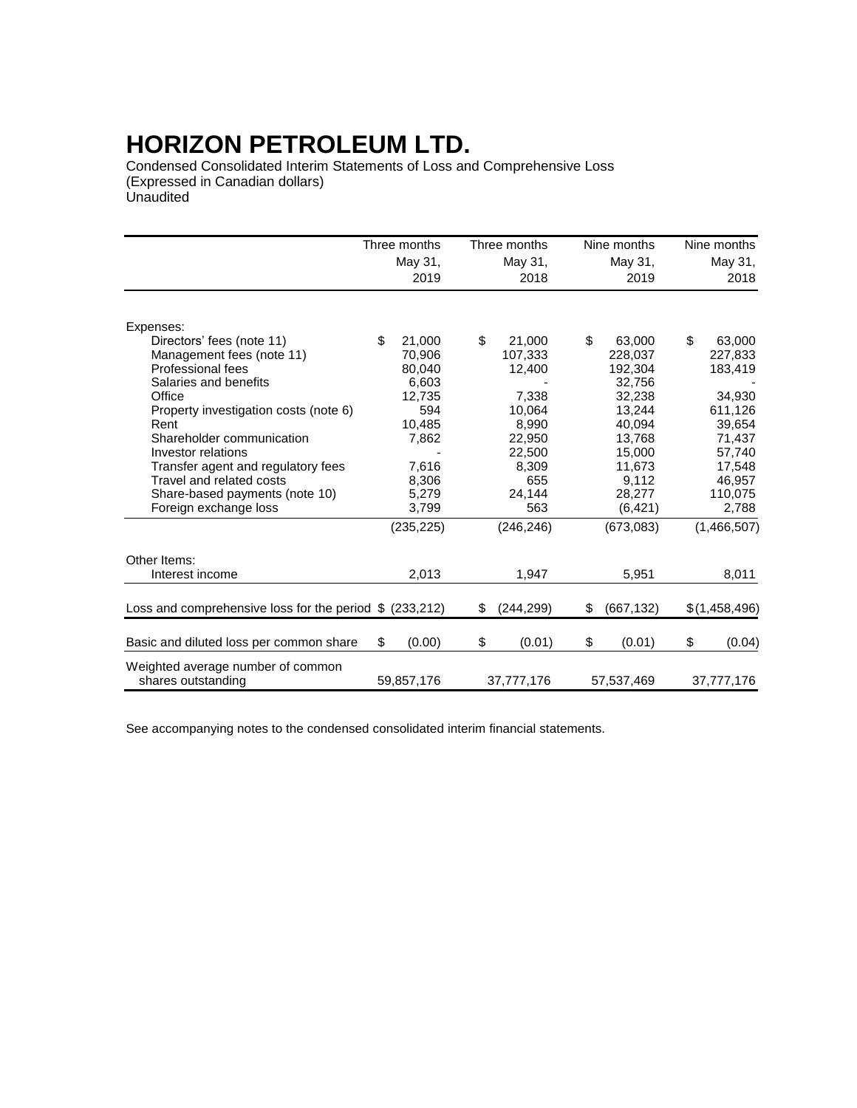Condensed Consolidated Interim Statements of Loss and Comprehensive Loss (Expressed in Canadian dollars) Unaudited

|                                                          | Three months | Three months     |    | Nine months | Nine months   |
|----------------------------------------------------------|--------------|------------------|----|-------------|---------------|
|                                                          | May 31,      | May 31,          |    | May 31,     | May 31,       |
|                                                          | 2019         | 2018             |    | 2019        | 2018          |
|                                                          |              |                  |    |             |               |
| Expenses:                                                |              |                  |    |             |               |
| Directors' fees (note 11)                                | \$<br>21,000 | \$<br>21,000     | \$ | 63,000      | \$<br>63,000  |
| Management fees (note 11)                                | 70,906       | 107,333          |    | 228,037     | 227,833       |
| Professional fees                                        | 80,040       | 12,400           |    | 192,304     | 183,419       |
| Salaries and benefits                                    | 6,603        |                  |    | 32,756      |               |
| Office                                                   | 12,735       | 7.338            |    | 32,238      | 34.930        |
| Property investigation costs (note 6)                    | 594          | 10,064           |    | 13,244      | 611,126       |
| Rent                                                     | 10,485       | 8,990            |    | 40,094      | 39,654        |
| Shareholder communication                                | 7,862        | 22,950           |    | 13,768      | 71,437        |
| Investor relations                                       |              | 22,500           |    | 15,000      | 57,740        |
| Transfer agent and regulatory fees                       | 7,616        | 8,309            |    | 11,673      | 17,548        |
| Travel and related costs                                 | 8,306        | 655              |    | 9,112       | 46,957        |
| Share-based payments (note 10)                           | 5,279        | 24,144           |    | 28,277      | 110,075       |
| Foreign exchange loss                                    | 3,799        | 563              |    | (6, 421)    | 2,788         |
|                                                          | (235, 225)   | (246, 246)       |    | (673,083)   | (1,466,507)   |
| Other Items:                                             |              |                  |    |             |               |
| Interest income                                          | 2,013        | 1.947            |    | 5,951       | 8,011         |
| Loss and comprehensive loss for the period $$$ (233,212) |              | \$<br>(244, 299) | S  | (667, 132)  | \$(1,458,496) |
| Basic and diluted loss per common share                  | \$<br>(0.00) | \$<br>(0.01)     | \$ | (0.01)      | \$<br>(0.04)  |
| Weighted average number of common<br>shares outstanding  | 59,857,176   | 37,777,176       |    | 57,537,469  | 37,777,176    |

See accompanying notes to the condensed consolidated interim financial statements.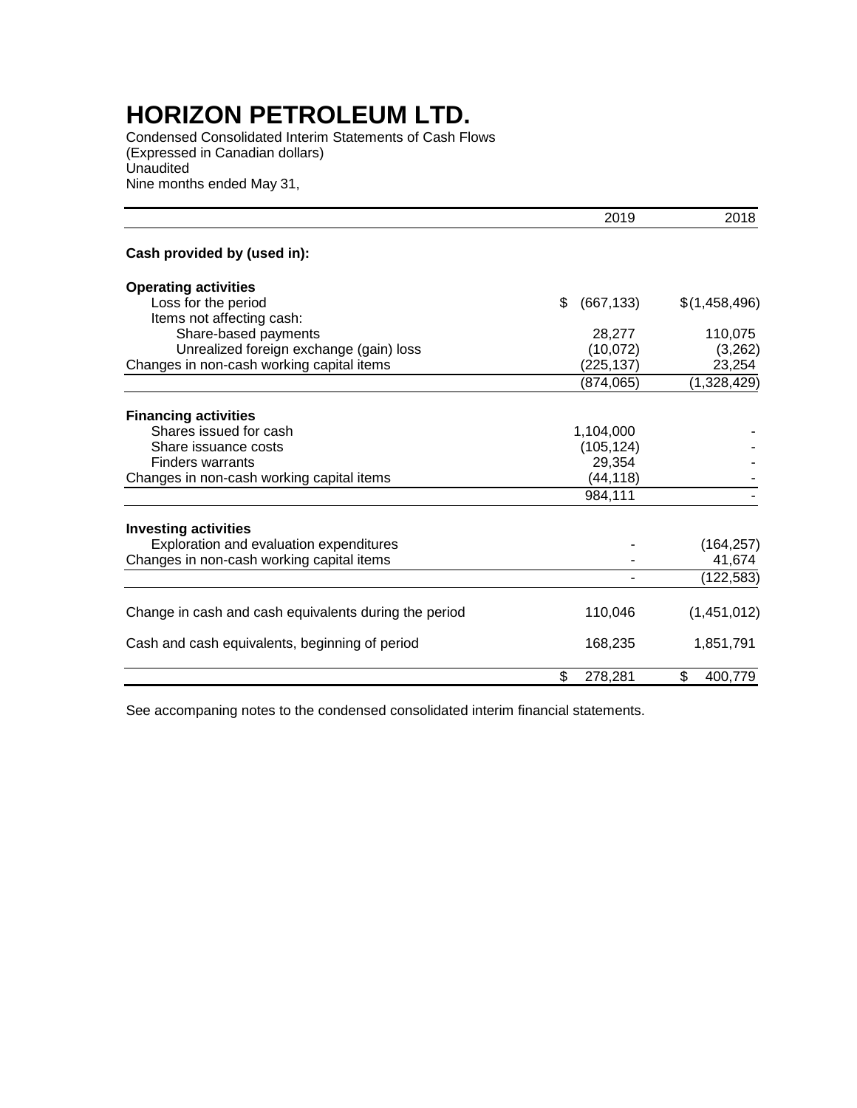Condensed Consolidated Interim Statements of Cash Flows (Expressed in Canadian dollars) **Unaudited** Nine months ended May 31,

|                                                       | 2019             | 2018          |
|-------------------------------------------------------|------------------|---------------|
| Cash provided by (used in):                           |                  |               |
| <b>Operating activities</b>                           |                  |               |
| Loss for the period                                   | \$<br>(667, 133) | \$(1,458,496) |
| Items not affecting cash:                             |                  |               |
| Share-based payments                                  | 28,277           | 110,075       |
| Unrealized foreign exchange (gain) loss               | (10,072)         | (3,262)       |
| Changes in non-cash working capital items             | (225, 137)       | 23,254        |
|                                                       | (874,065)        | (1,328,429)   |
| <b>Financing activities</b>                           |                  |               |
| Shares issued for cash                                | 1,104,000        |               |
| Share issuance costs                                  | (105, 124)       |               |
| <b>Finders warrants</b>                               | 29,354           |               |
| Changes in non-cash working capital items             | (44, 118)        |               |
|                                                       | 984,111          |               |
|                                                       |                  |               |
| <b>Investing activities</b>                           |                  |               |
| Exploration and evaluation expenditures               |                  | (164, 257)    |
| Changes in non-cash working capital items             |                  | 41,674        |
|                                                       |                  | (122, 583)    |
| Change in cash and cash equivalents during the period | 110,046          | (1,451,012)   |
|                                                       |                  |               |
| Cash and cash equivalents, beginning of period        | 168,235          | 1,851,791     |
|                                                       | \$<br>278,281    | \$<br>400,779 |

See accompaning notes to the condensed consolidated interim financial statements.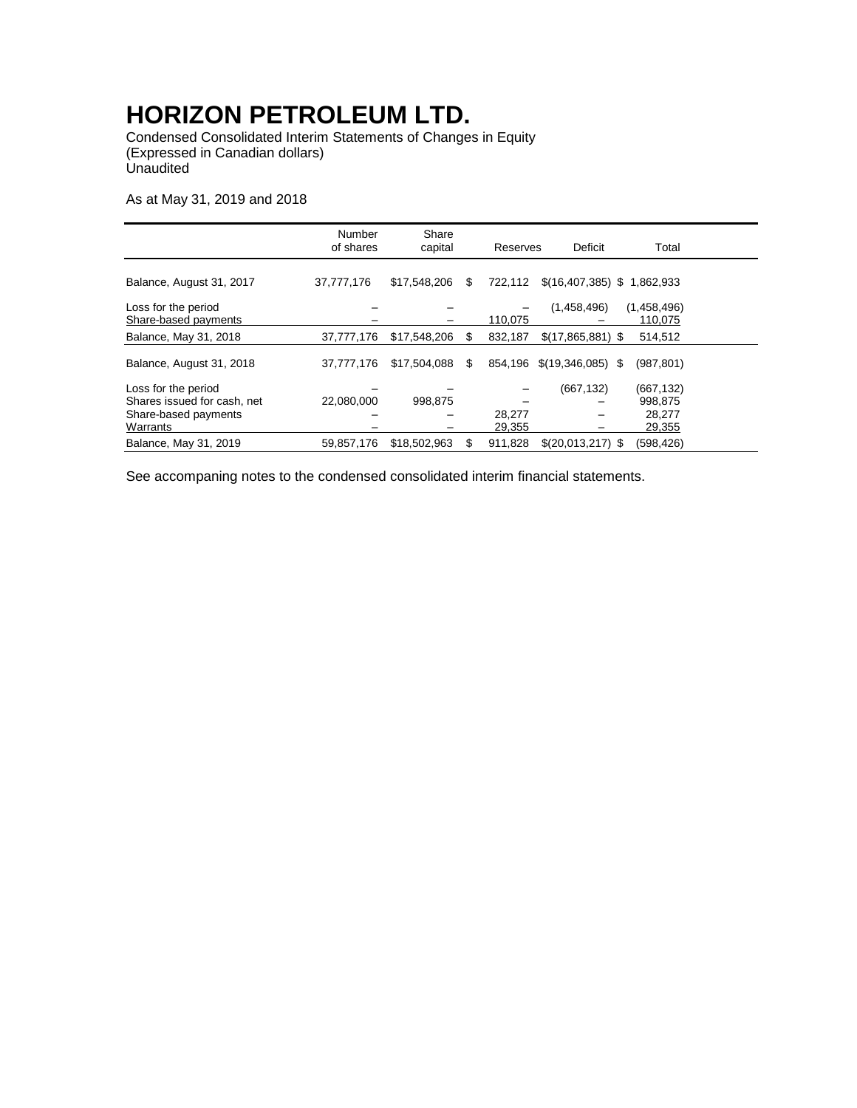Condensed Consolidated Interim Statements of Changes in Equity (Expressed in Canadian dollars) **Unaudited** 

As at May 31, 2019 and 2018

|                                                                                        | Number<br>of shares | Share<br>capital |    | Reserves         | Deficit                      | Total                                    |  |
|----------------------------------------------------------------------------------------|---------------------|------------------|----|------------------|------------------------------|------------------------------------------|--|
| Balance, August 31, 2017                                                               | 37,777,176          | \$17,548,206     | \$ | 722,112          | $$(16,407,385)$ \$ 1,862,933 |                                          |  |
| Loss for the period<br>Share-based payments                                            |                     |                  |    | 110,075          | (1,458,496)                  | (1,458,496)<br>110,075                   |  |
| Balance, May 31, 2018                                                                  | 37,777,176          | \$17,548,206     | S  | 832,187          | $$(17,865,881)$ \;           | 514,512                                  |  |
| Balance, August 31, 2018                                                               | 37,777,176          | \$17,504,088     | S  | 854.196          | \$(19,346,085)               | (987, 801)<br>S.                         |  |
| Loss for the period<br>Shares issued for cash, net<br>Share-based payments<br>Warrants | 22,080,000          | 998.875          |    | 28,277<br>29,355 | (667, 132)                   | (667,132)<br>998,875<br>28,277<br>29,355 |  |
| Balance, May 31, 2019                                                                  | 59,857,176          | \$18,502,963     | S  | 911.828          | $$(20,013,217)$ \;           | (598, 426)                               |  |

See accompaning notes to the condensed consolidated interim financial statements.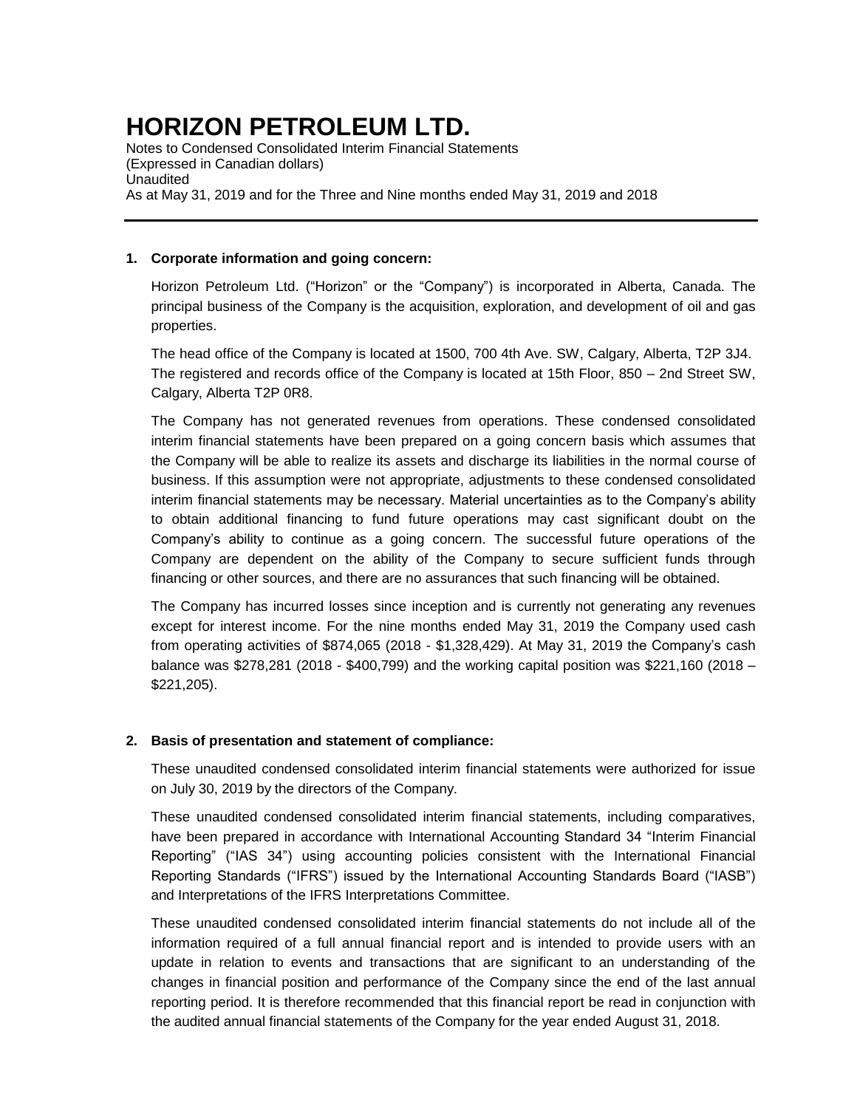Notes to Condensed Consolidated Interim Financial Statements (Expressed in Canadian dollars) Unaudited As at May 31, 2019 and for the Three and Nine months ended May 31, 2019 and 2018

### **1. Corporate information and going concern:**

Horizon Petroleum Ltd. ("Horizon" or the "Company") is incorporated in Alberta, Canada. The principal business of the Company is the acquisition, exploration, and development of oil and gas properties.

The head office of the Company is located at 1500, 700 4th Ave. SW, Calgary, Alberta, T2P 3J4. The registered and records office of the Company is located at 15th Floor, 850 – 2nd Street SW, Calgary, Alberta T2P 0R8.

The Company has not generated revenues from operations. These condensed consolidated interim financial statements have been prepared on a going concern basis which assumes that the Company will be able to realize its assets and discharge its liabilities in the normal course of business. If this assumption were not appropriate, adjustments to these condensed consolidated interim financial statements may be necessary. Material uncertainties as to the Company's ability to obtain additional financing to fund future operations may cast significant doubt on the Company's ability to continue as a going concern. The successful future operations of the Company are dependent on the ability of the Company to secure sufficient funds through financing or other sources, and there are no assurances that such financing will be obtained.

The Company has incurred losses since inception and is currently not generating any revenues except for interest income. For the nine months ended May 31, 2019 the Company used cash from operating activities of \$874,065 (2018 - \$1,328,429). At May 31, 2019 the Company's cash balance was \$278,281 (2018 - \$400,799) and the working capital position was \$221,160 (2018 – \$221,205).

### **2. Basis of presentation and statement of compliance:**

These unaudited condensed consolidated interim financial statements were authorized for issue on July 30, 2019 by the directors of the Company.

These unaudited condensed consolidated interim financial statements, including comparatives, have been prepared in accordance with International Accounting Standard 34 "Interim Financial Reporting" ("IAS 34") using accounting policies consistent with the International Financial Reporting Standards ("IFRS") issued by the International Accounting Standards Board ("IASB") and Interpretations of the IFRS Interpretations Committee.

These unaudited condensed consolidated interim financial statements do not include all of the information required of a full annual financial report and is intended to provide users with an update in relation to events and transactions that are significant to an understanding of the changes in financial position and performance of the Company since the end of the last annual reporting period. It is therefore recommended that this financial report be read in conjunction with the audited annual financial statements of the Company for the year ended August 31, 2018.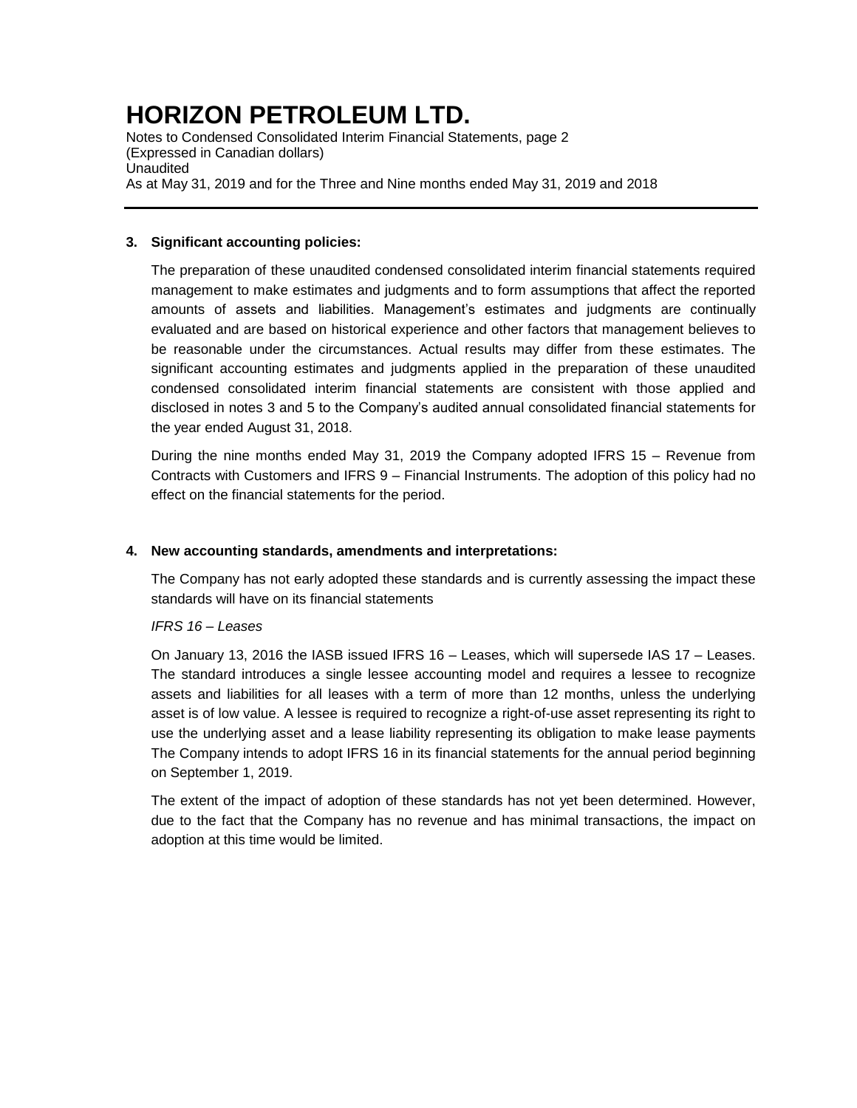Notes to Condensed Consolidated Interim Financial Statements, page 2 (Expressed in Canadian dollars) Unaudited As at May 31, 2019 and for the Three and Nine months ended May 31, 2019 and 2018

### **3. Significant accounting policies:**

The preparation of these unaudited condensed consolidated interim financial statements required management to make estimates and judgments and to form assumptions that affect the reported amounts of assets and liabilities. Management's estimates and judgments are continually evaluated and are based on historical experience and other factors that management believes to be reasonable under the circumstances. Actual results may differ from these estimates. The significant accounting estimates and judgments applied in the preparation of these unaudited condensed consolidated interim financial statements are consistent with those applied and disclosed in notes 3 and 5 to the Company's audited annual consolidated financial statements for the year ended August 31, 2018.

During the nine months ended May 31, 2019 the Company adopted IFRS 15 – Revenue from Contracts with Customers and IFRS 9 – Financial Instruments. The adoption of this policy had no effect on the financial statements for the period.

### **4. New accounting standards, amendments and interpretations:**

The Company has not early adopted these standards and is currently assessing the impact these standards will have on its financial statements

### *IFRS 16 – Leases*

On January 13, 2016 the IASB issued IFRS 16 – Leases, which will supersede IAS 17 – Leases. The standard introduces a single lessee accounting model and requires a lessee to recognize assets and liabilities for all leases with a term of more than 12 months, unless the underlying asset is of low value. A lessee is required to recognize a right-of-use asset representing its right to use the underlying asset and a lease liability representing its obligation to make lease payments The Company intends to adopt IFRS 16 in its financial statements for the annual period beginning on September 1, 2019.

The extent of the impact of adoption of these standards has not yet been determined. However, due to the fact that the Company has no revenue and has minimal transactions, the impact on adoption at this time would be limited.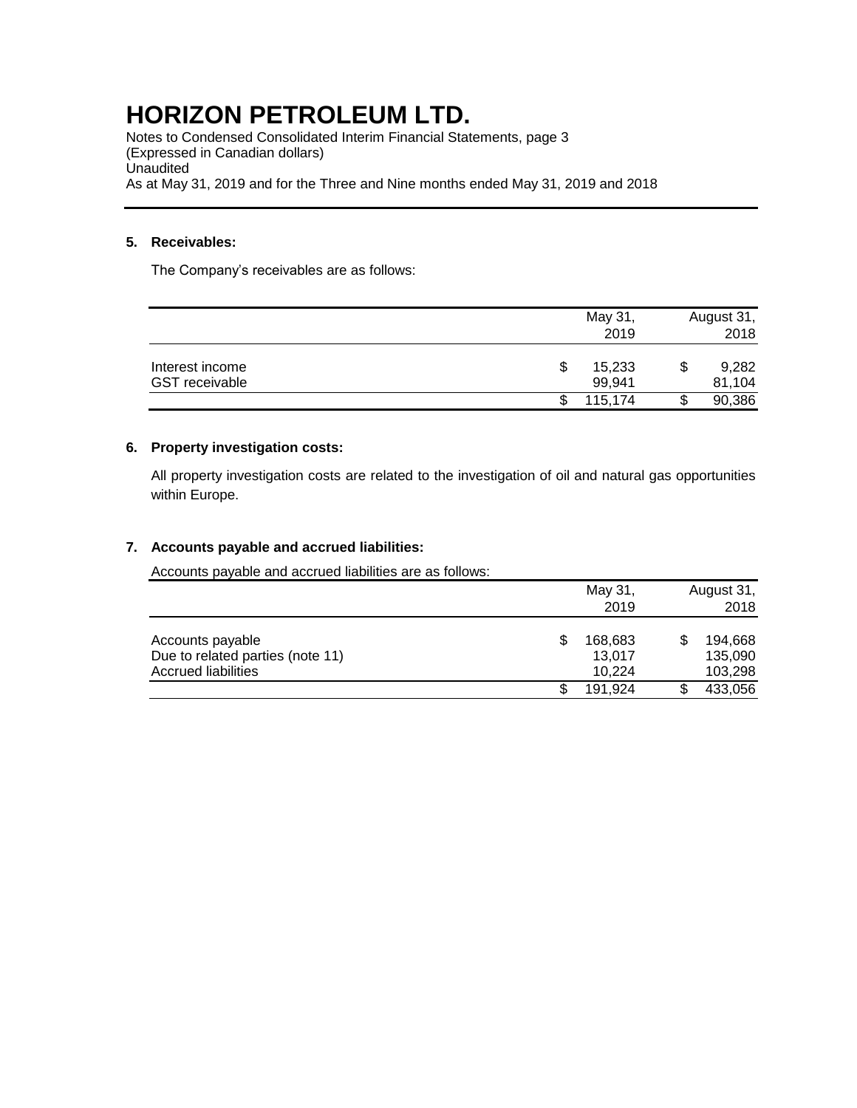Notes to Condensed Consolidated Interim Financial Statements, page 3 (Expressed in Canadian dollars) **Unaudited** As at May 31, 2019 and for the Three and Nine months ended May 31, 2019 and 2018

### **5. Receivables:**

The Company's receivables are as follows:

|                       | May 31,     | August 31, |
|-----------------------|-------------|------------|
|                       | 2019        | 2018       |
| Interest income       | 15,233<br>S | 9,282      |
| <b>GST</b> receivable | 99,941      | 81,104     |
|                       | 115.174     | 90,386     |

### **6. Property investigation costs:**

All property investigation costs are related to the investigation of oil and natural gas opportunities within Europe.

### **7. Accounts payable and accrued liabilities:**

Accounts payable and accrued liabilities are as follows:

|                                                                             | May 31,<br>2019             | August 31,<br>2018            |
|-----------------------------------------------------------------------------|-----------------------------|-------------------------------|
| Accounts payable<br>Due to related parties (note 11)<br>Accrued liabilities | 168,683<br>13,017<br>10.224 | 194,668<br>135,090<br>103,298 |
|                                                                             | 191.924                     | 433,056                       |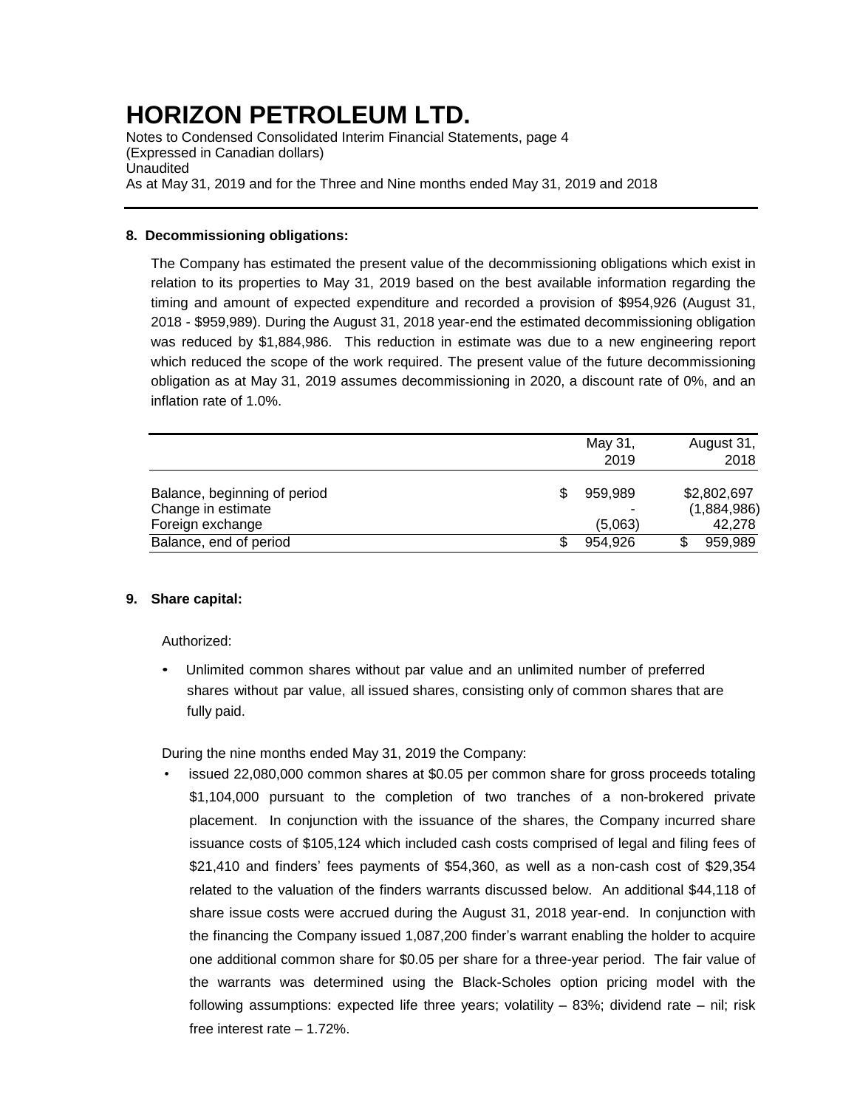Notes to Condensed Consolidated Interim Financial Statements, page 4 (Expressed in Canadian dollars) Unaudited As at May 31, 2019 and for the Three and Nine months ended May 31, 2019 and 2018

### **8. Decommissioning obligations:**

The Company has estimated the present value of the decommissioning obligations which exist in relation to its properties to May 31, 2019 based on the best available information regarding the timing and amount of expected expenditure and recorded a provision of \$954,926 (August 31, 2018 - \$959,989). During the August 31, 2018 year-end the estimated decommissioning obligation was reduced by \$1,884,986. This reduction in estimate was due to a new engineering report which reduced the scope of the work required. The present value of the future decommissioning obligation as at May 31, 2019 assumes decommissioning in 2020, a discount rate of 0%, and an inflation rate of 1.0%.

|                                                                        | May 31,<br>2019    | August 31,<br>2018                   |
|------------------------------------------------------------------------|--------------------|--------------------------------------|
| Balance, beginning of period<br>Change in estimate<br>Foreign exchange | 959.989<br>(5,063) | \$2,802,697<br>(1,884,986)<br>42,278 |
| Balance, end of period                                                 | 954.926            | 959,989                              |

### **9. Share capital:**

Authorized:

• Unlimited common shares without par value and an unlimited number of preferred shares without par value, all issued shares, consisting only of common shares that are fully paid.

During the nine months ended May 31, 2019 the Company:

• issued 22,080,000 common shares at \$0.05 per common share for gross proceeds totaling \$1,104,000 pursuant to the completion of two tranches of a non-brokered private placement. In conjunction with the issuance of the shares, the Company incurred share issuance costs of \$105,124 which included cash costs comprised of legal and filing fees of \$21,410 and finders' fees payments of \$54,360, as well as a non-cash cost of \$29,354 related to the valuation of the finders warrants discussed below. An additional \$44,118 of share issue costs were accrued during the August 31, 2018 year-end. In conjunction with the financing the Company issued 1,087,200 finder's warrant enabling the holder to acquire one additional common share for \$0.05 per share for a three-year period. The fair value of the warrants was determined using the Black-Scholes option pricing model with the following assumptions: expected life three years; volatility – 83%; dividend rate – nil; risk free interest rate – 1.72%.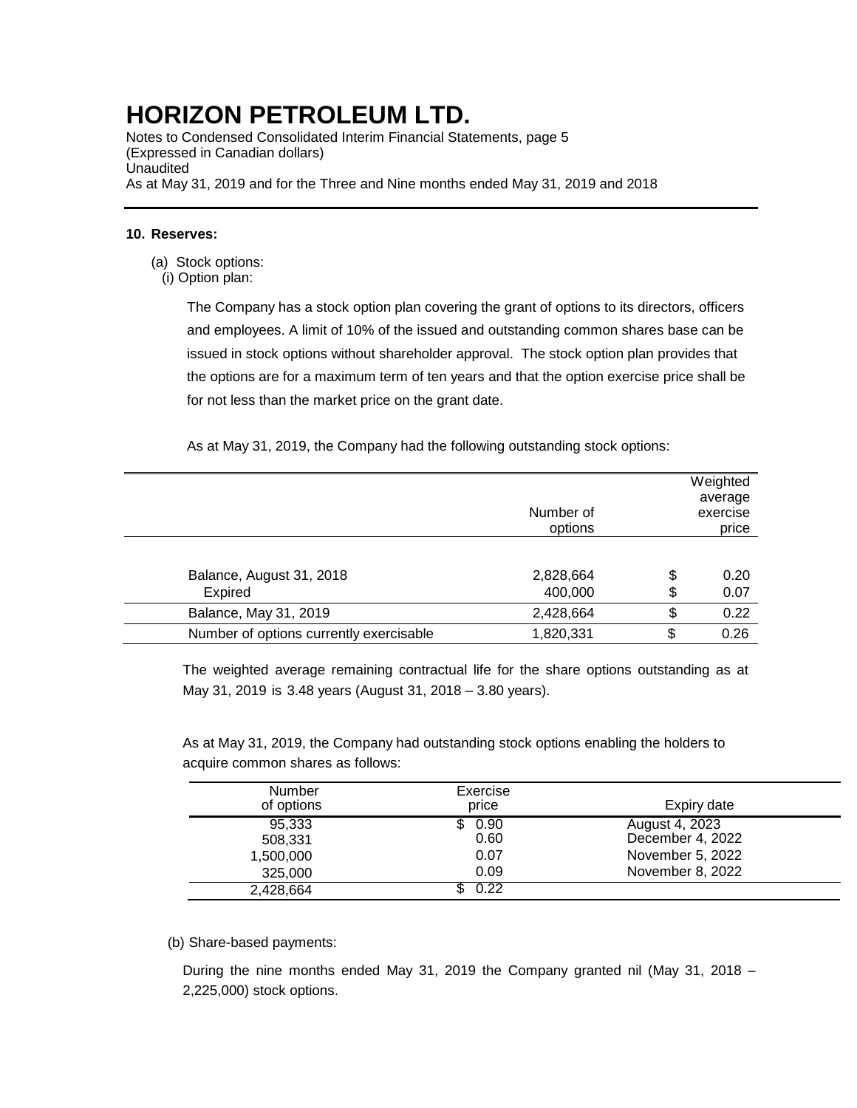Notes to Condensed Consolidated Interim Financial Statements, page 5 (Expressed in Canadian dollars) Unaudited As at May 31, 2019 and for the Three and Nine months ended May 31, 2019 and 2018

#### **10. Reserves:**

- (a) Stock options:
- (i) Option plan:

The Company has a stock option plan covering the grant of options to its directors, officers and employees. A limit of 10% of the issued and outstanding common shares base can be issued in stock options without shareholder approval. The stock option plan provides that the options are for a maximum term of ten years and that the option exercise price shall be for not less than the market price on the grant date.

As at May 31, 2019, the Company had the following outstanding stock options:

|                                         | Number of<br>options |          | Weighted<br>average<br>exercise<br>price |
|-----------------------------------------|----------------------|----------|------------------------------------------|
| Balance, August 31, 2018<br>Expired     | 2,828,664<br>400,000 | \$<br>\$ | 0.20<br>0.07                             |
| Balance, May 31, 2019                   | 2,428,664            | \$       | 0.22                                     |
| Number of options currently exercisable | 1,820,331            | \$       | 0.26                                     |
|                                         |                      |          |                                          |

The weighted average remaining contractual life for the share options outstanding as at May 31, 2019 is 3.48 years (August 31, 2018 – 3.80 years).

As at May 31, 2019, the Company had outstanding stock options enabling the holders to acquire common shares as follows:

| <b>Number</b><br>of options | Exercise<br>price | Expiry date      |
|-----------------------------|-------------------|------------------|
| 95,333                      | 0.90              | August 4, 2023   |
| 508.331                     | 0.60              | December 4, 2022 |
| 1,500,000                   | 0.07              | November 5, 2022 |
| 325,000                     | 0.09              | November 8, 2022 |
| 2,428,664                   | 0.22              |                  |

(b) Share-based payments:

During the nine months ended May 31, 2019 the Company granted nil (May 31, 2018 – 2,225,000) stock options.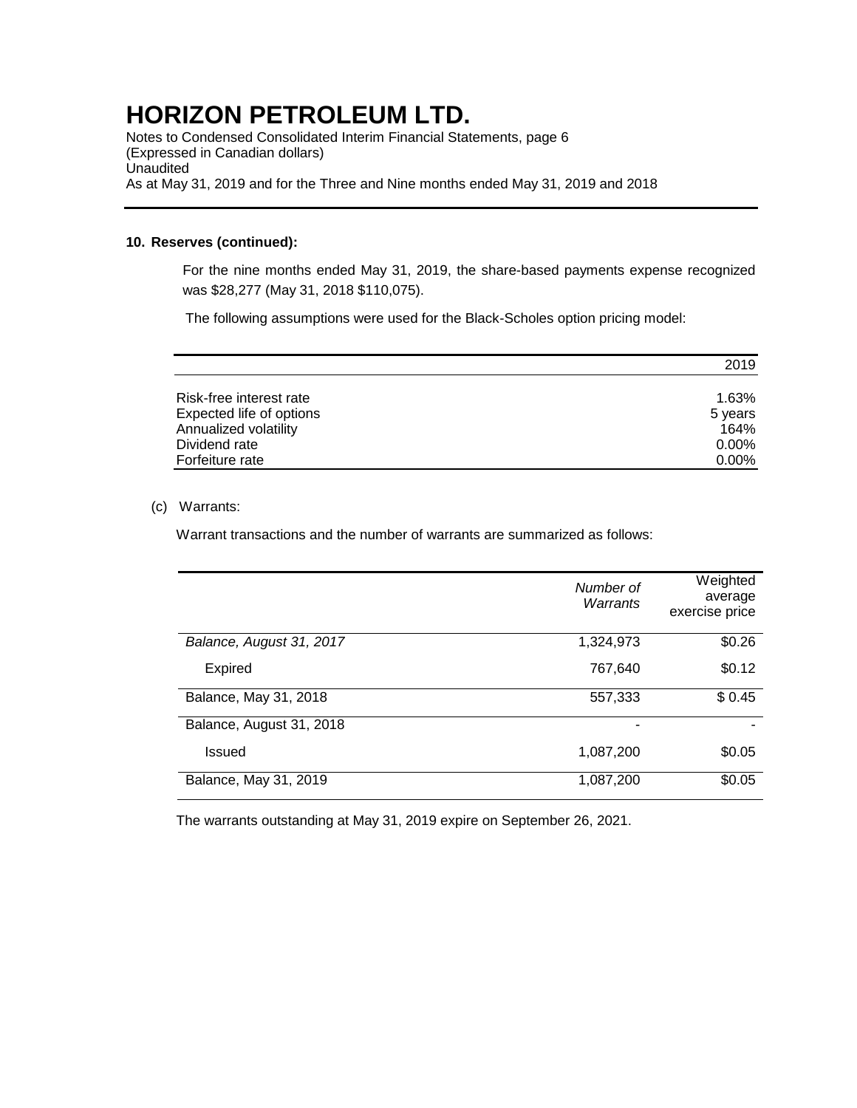Notes to Condensed Consolidated Interim Financial Statements, page 6 (Expressed in Canadian dollars) **Unaudited** As at May 31, 2019 and for the Three and Nine months ended May 31, 2019 and 2018

#### **10. Reserves (continued):**

For the nine months ended May 31, 2019, the share-based payments expense recognized was \$28,277 (May 31, 2018 \$110,075).

The following assumptions were used for the Black-Scholes option pricing model:

|                          | 2019     |
|--------------------------|----------|
| Risk-free interest rate  | 1.63%    |
| Expected life of options | 5 years  |
| Annualized volatility    | 164%     |
| Dividend rate            | $0.00\%$ |
| Forfeiture rate          | $0.00\%$ |

#### (c) Warrants:

Warrant transactions and the number of warrants are summarized as follows:

|                          | Number of<br>Warrants | Weighted<br>average<br>exercise price |
|--------------------------|-----------------------|---------------------------------------|
| Balance, August 31, 2017 | 1,324,973             | \$0.26                                |
| <b>Expired</b>           | 767,640               | \$0.12                                |
| Balance, May 31, 2018    | 557,333               | \$0.45                                |
| Balance, August 31, 2018 |                       |                                       |
| <b>Issued</b>            | 1,087,200             | \$0.05                                |
| Balance, May 31, 2019    | 1,087,200             | \$0.05                                |

The warrants outstanding at May 31, 2019 expire on September 26, 2021.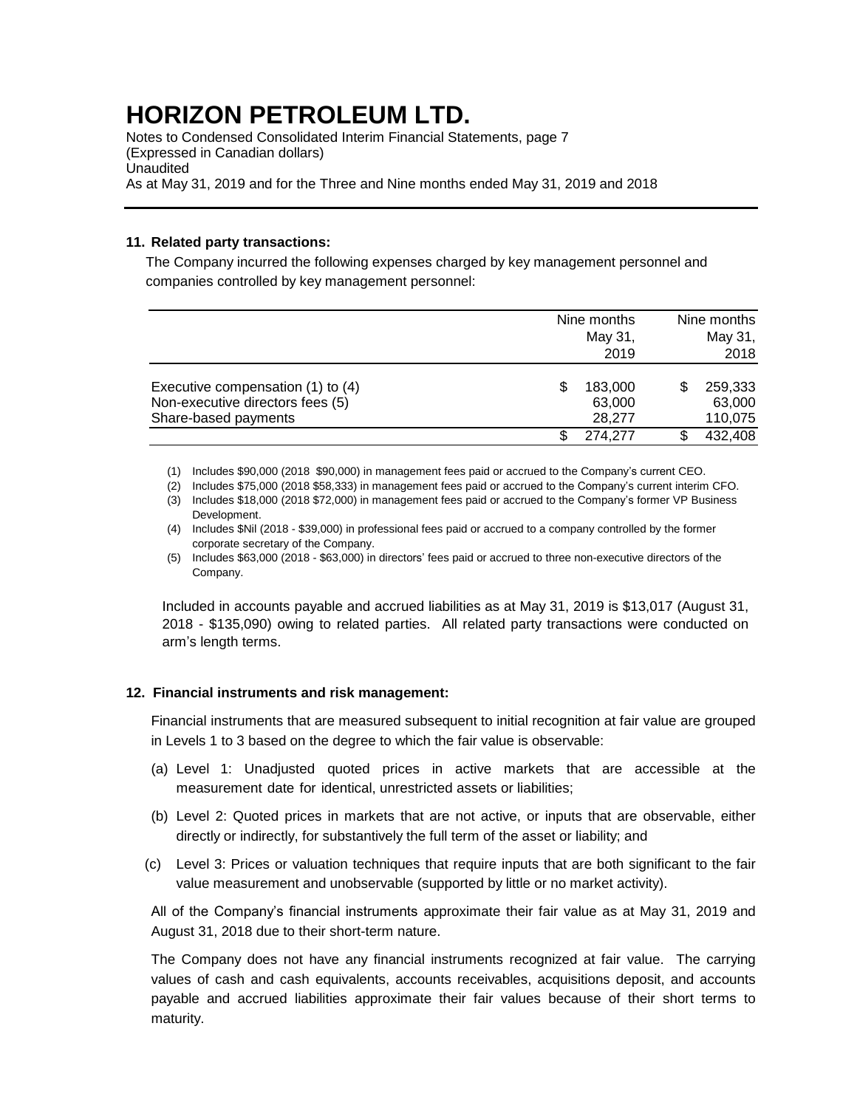Notes to Condensed Consolidated Interim Financial Statements, page 7 (Expressed in Canadian dollars) Unaudited As at May 31, 2019 and for the Three and Nine months ended May 31, 2019 and 2018

### **11. Related party transactions:**

The Company incurred the following expenses charged by key management personnel and companies controlled by key management personnel:

|                                                                       | Nine months<br>May 31,<br>2019 | Nine months<br>May 31,<br>2018 |
|-----------------------------------------------------------------------|--------------------------------|--------------------------------|
| Executive compensation (1) to (4)<br>Non-executive directors fees (5) | 183,000<br>63,000              | 259,333<br>63,000              |
| Share-based payments                                                  | 28.277                         | 110,075                        |
|                                                                       | 274,277                        | 432,408                        |

(1) Includes \$90,000 (2018 \$90,000) in management fees paid or accrued to the Company's current CEO.

(2) Includes \$75,000 (2018 \$58,333) in management fees paid or accrued to the Company's current interim CFO.

(3) Includes \$18,000 (2018 \$72,000) in management fees paid or accrued to the Company's former VP Business Development.

(4) Includes \$Nil (2018 - \$39,000) in professional fees paid or accrued to a company controlled by the former corporate secretary of the Company.

(5) Includes \$63,000 (2018 - \$63,000) in directors' fees paid or accrued to three non-executive directors of the Company.

Included in accounts payable and accrued liabilities as at May 31, 2019 is \$13,017 (August 31, 2018 - \$135,090) owing to related parties. All related party transactions were conducted on arm's length terms.

### **12. Financial instruments and risk management:**

Financial instruments that are measured subsequent to initial recognition at fair value are grouped in Levels 1 to 3 based on the degree to which the fair value is observable:

- (a) Level 1: Unadjusted quoted prices in active markets that are accessible at the measurement date for identical, unrestricted assets or liabilities;
- (b) Level 2: Quoted prices in markets that are not active, or inputs that are observable, either directly or indirectly, for substantively the full term of the asset or liability; and
- (c) Level 3: Prices or valuation techniques that require inputs that are both significant to the fair value measurement and unobservable (supported by little or no market activity).

All of the Company's financial instruments approximate their fair value as at May 31, 2019 and August 31, 2018 due to their short-term nature.

The Company does not have any financial instruments recognized at fair value. The carrying values of cash and cash equivalents, accounts receivables, acquisitions deposit, and accounts payable and accrued liabilities approximate their fair values because of their short terms to maturity.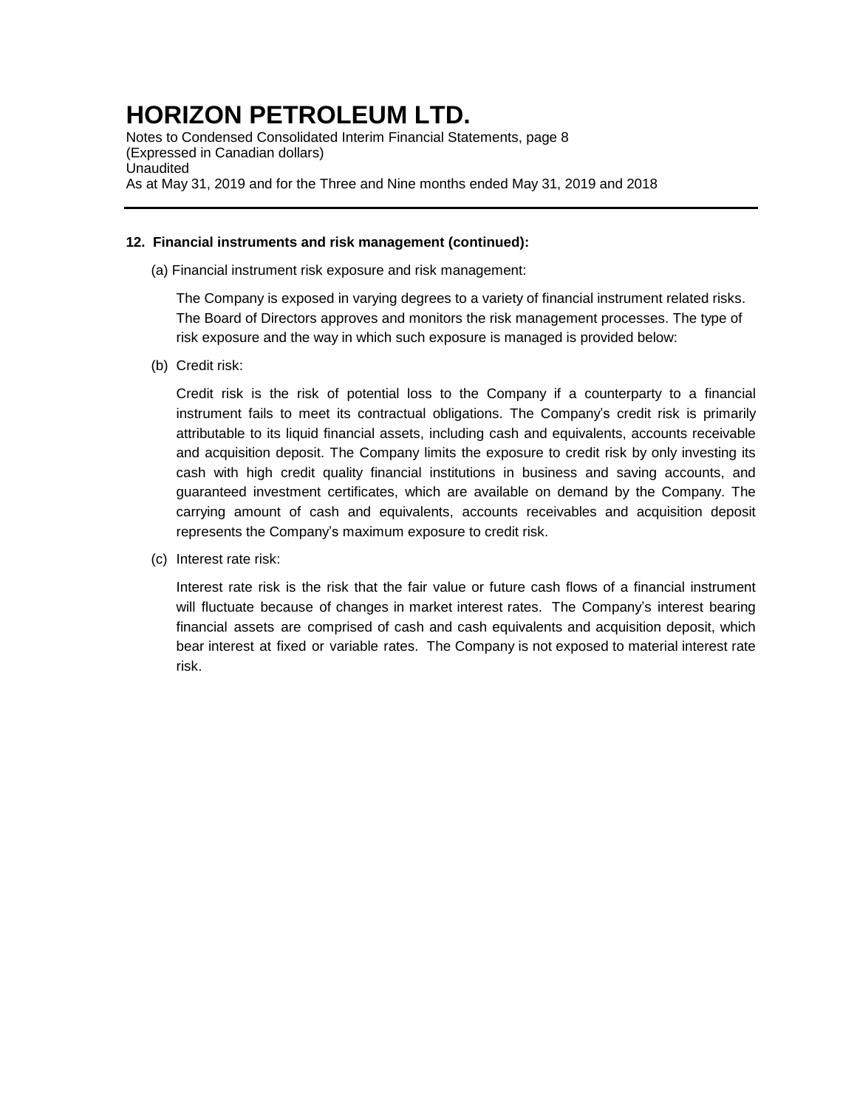Notes to Condensed Consolidated Interim Financial Statements, page 8 (Expressed in Canadian dollars) **Unaudited** As at May 31, 2019 and for the Three and Nine months ended May 31, 2019 and 2018

### **12. Financial instruments and risk management (continued):**

(a) Financial instrument risk exposure and risk management:

The Company is exposed in varying degrees to a variety of financial instrument related risks. The Board of Directors approves and monitors the risk management processes. The type of risk exposure and the way in which such exposure is managed is provided below:

(b) Credit risk:

Credit risk is the risk of potential loss to the Company if a counterparty to a financial instrument fails to meet its contractual obligations. The Company's credit risk is primarily attributable to its liquid financial assets, including cash and equivalents, accounts receivable and acquisition deposit. The Company limits the exposure to credit risk by only investing its cash with high credit quality financial institutions in business and saving accounts, and guaranteed investment certificates, which are available on demand by the Company. The carrying amount of cash and equivalents, accounts receivables and acquisition deposit represents the Company's maximum exposure to credit risk.

(c) Interest rate risk:

Interest rate risk is the risk that the fair value or future cash flows of a financial instrument will fluctuate because of changes in market interest rates. The Company's interest bearing financial assets are comprised of cash and cash equivalents and acquisition deposit, which bear interest at fixed or variable rates. The Company is not exposed to material interest rate risk.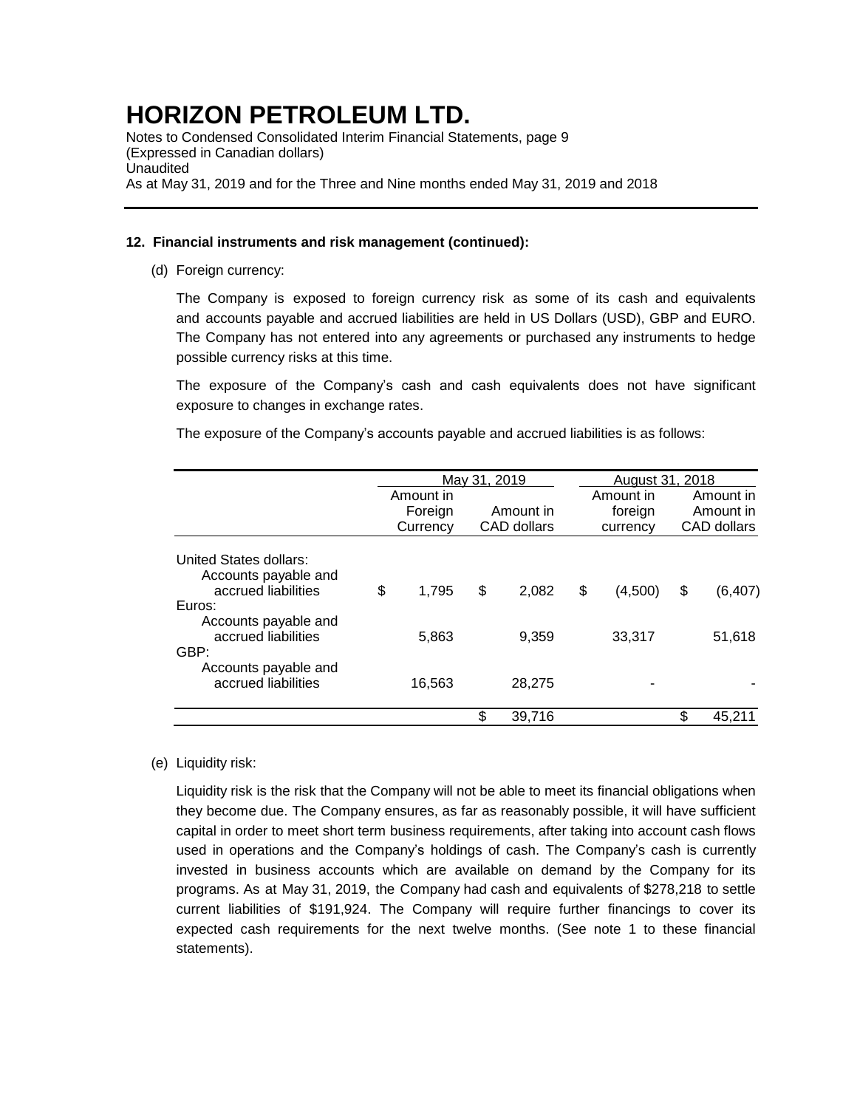Notes to Condensed Consolidated Interim Financial Statements, page 9 (Expressed in Canadian dollars) Unaudited As at May 31, 2019 and for the Three and Nine months ended May 31, 2019 and 2018

### **12. Financial instruments and risk management (continued):**

(d) Foreign currency:

The Company is exposed to foreign currency risk as some of its cash and equivalents and accounts payable and accrued liabilities are held in US Dollars (USD), GBP and EURO. The Company has not entered into any agreements or purchased any instruments to hedge possible currency risks at this time.

The exposure of the Company's cash and cash equivalents does not have significant exposure to changes in exchange rates.

The exposure of the Company's accounts payable and accrued liabilities is as follows:

|                                                                       |                                  | May 31, 2019 |                          |        |                                  | <b>August 31, 2018</b> |                                       |          |
|-----------------------------------------------------------------------|----------------------------------|--------------|--------------------------|--------|----------------------------------|------------------------|---------------------------------------|----------|
|                                                                       | Amount in<br>Foreign<br>Currency |              | Amount in<br>CAD dollars |        | Amount in<br>foreign<br>currency |                        | Amount in<br>Amount in<br>CAD dollars |          |
| United States dollars:<br>Accounts payable and<br>accrued liabilities | \$                               | 1.795        | \$                       | 2,082  | \$                               | (4,500)                | \$                                    | (6, 407) |
| Euros:                                                                |                                  |              |                          |        |                                  |                        |                                       |          |
| Accounts payable and<br>accrued liabilities<br>GBP:                   |                                  | 5,863        |                          | 9,359  |                                  | 33,317                 |                                       | 51,618   |
| Accounts payable and<br>accrued liabilities                           |                                  | 16,563       |                          | 28,275 |                                  |                        |                                       |          |
|                                                                       |                                  |              | \$                       | 39,716 |                                  |                        |                                       | 45,211   |

### (e) Liquidity risk:

Liquidity risk is the risk that the Company will not be able to meet its financial obligations when they become due. The Company ensures, as far as reasonably possible, it will have sufficient capital in order to meet short term business requirements, after taking into account cash flows used in operations and the Company's holdings of cash. The Company's cash is currently invested in business accounts which are available on demand by the Company for its programs. As at May 31, 2019, the Company had cash and equivalents of \$278,218 to settle current liabilities of \$191,924. The Company will require further financings to cover its expected cash requirements for the next twelve months. (See note 1 to these financial statements).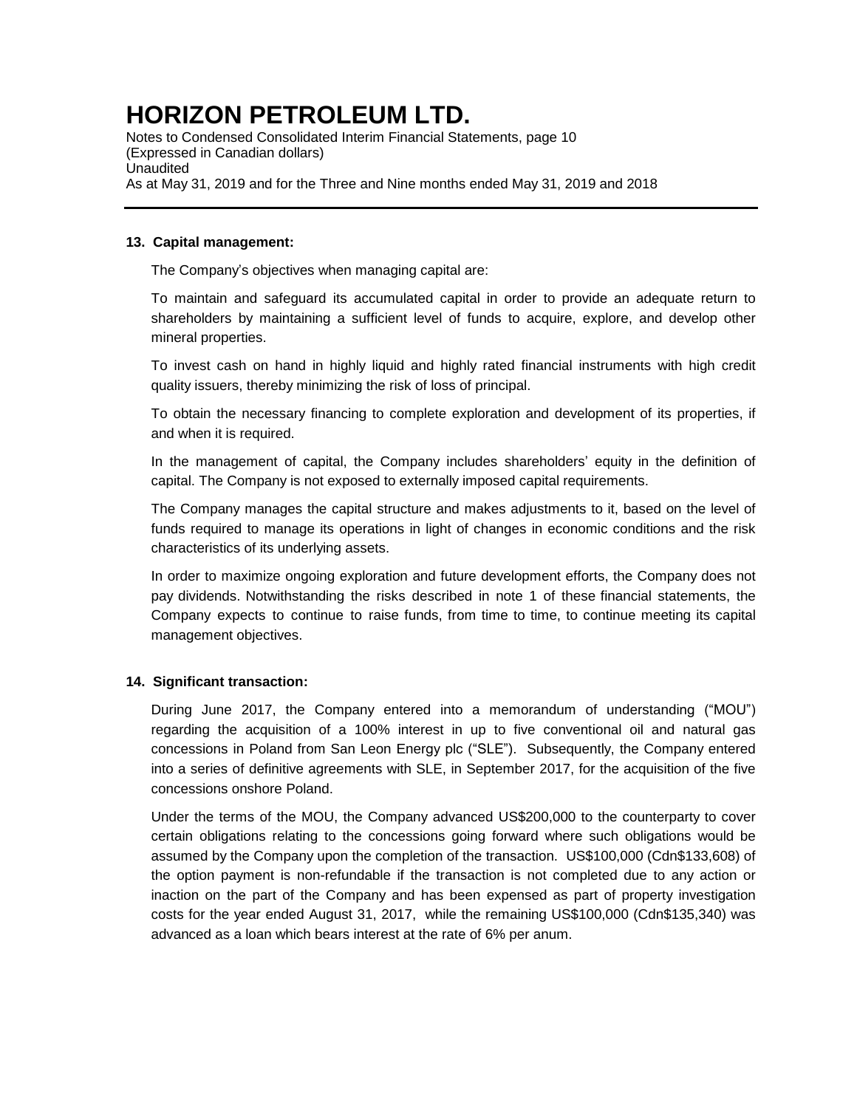Notes to Condensed Consolidated Interim Financial Statements, page 10 (Expressed in Canadian dollars) **Unaudited** As at May 31, 2019 and for the Three and Nine months ended May 31, 2019 and 2018

### **13. Capital management:**

The Company's objectives when managing capital are:

To maintain and safeguard its accumulated capital in order to provide an adequate return to shareholders by maintaining a sufficient level of funds to acquire, explore, and develop other mineral properties.

To invest cash on hand in highly liquid and highly rated financial instruments with high credit quality issuers, thereby minimizing the risk of loss of principal.

To obtain the necessary financing to complete exploration and development of its properties, if and when it is required.

In the management of capital, the Company includes shareholders' equity in the definition of capital. The Company is not exposed to externally imposed capital requirements.

The Company manages the capital structure and makes adjustments to it, based on the level of funds required to manage its operations in light of changes in economic conditions and the risk characteristics of its underlying assets.

In order to maximize ongoing exploration and future development efforts, the Company does not pay dividends. Notwithstanding the risks described in note 1 of these financial statements, the Company expects to continue to raise funds, from time to time, to continue meeting its capital management objectives.

### **14. Significant transaction:**

During June 2017, the Company entered into a memorandum of understanding ("MOU") regarding the acquisition of a 100% interest in up to five conventional oil and natural gas concessions in Poland from San Leon Energy plc ("SLE"). Subsequently, the Company entered into a series of definitive agreements with SLE, in September 2017, for the acquisition of the five concessions onshore Poland.

Under the terms of the MOU, the Company advanced US\$200,000 to the counterparty to cover certain obligations relating to the concessions going forward where such obligations would be assumed by the Company upon the completion of the transaction. US\$100,000 (Cdn\$133,608) of the option payment is non-refundable if the transaction is not completed due to any action or inaction on the part of the Company and has been expensed as part of property investigation costs for the year ended August 31, 2017, while the remaining US\$100,000 (Cdn\$135,340) was advanced as a loan which bears interest at the rate of 6% per anum.